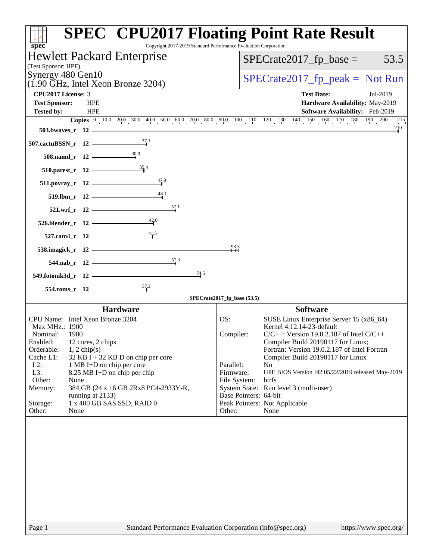| spec <sup>®</sup>                                             | <b>SPEC<sup>®</sup> CPU2017 Floating Point Rate Result</b><br>Copyright 2017-2019 Standard Performance Evaluation Corporation |
|---------------------------------------------------------------|-------------------------------------------------------------------------------------------------------------------------------|
| Hewlett Packard Enterprise                                    | $SPECrate2017_fp\_base =$<br>53.5                                                                                             |
| (Test Sponsor: HPE)<br>Synergy 480 Gen10                      |                                                                                                                               |
| $(1.90 \text{ GHz}, \text{Intel Xeon Bronze } 3204)$          | $SPECrate2017fr peak = Not Run$                                                                                               |
| <b>CPU2017 License: 3</b>                                     | <b>Test Date:</b><br>Jul-2019                                                                                                 |
| <b>Test Sponsor:</b><br><b>HPE</b><br><b>HPE</b>              | Hardware Availability: May-2019                                                                                               |
| <b>Tested by:</b>                                             | Software Availability: Feb-2019<br>215                                                                                        |
| 503.bwaves_r 12                                               | 210                                                                                                                           |
| $\frac{37.1}{4}$<br>507.cactuBSSN_r 12                        |                                                                                                                               |
| 30.0<br>508.namd_r 12                                         |                                                                                                                               |
| 35.4<br>510.parest_r 12                                       |                                                                                                                               |
| 47.9<br>511.povray_r 12                                       |                                                                                                                               |
| 48.1<br>519.lbm_r 12                                          |                                                                                                                               |
| 57.1<br>521.wrf_r 12                                          |                                                                                                                               |
| 42.0<br>526.blender_r 12                                      |                                                                                                                               |
| 41,5<br>527.cam4_r 12                                         |                                                                                                                               |
| 538.imagick_r 12                                              | $^{98.3}$                                                                                                                     |
| 57.3<br>544.nab_r 12                                          |                                                                                                                               |
| 74.5<br>549.fotonik3d_r 12                                    |                                                                                                                               |
| $\frac{37.2}{4}$<br>554.roms_r 12                             |                                                                                                                               |
|                                                               | SPECrate2017_fp_base (53.5)                                                                                                   |
| <b>Hardware</b><br>CPU Name: Intel Xeon Bronze 3204           | <b>Software</b><br>OS:<br>SUSE Linux Enterprise Server 15 (x86_64)                                                            |
| Max MHz.: 1900                                                | Kernel 4.12.14-23-default                                                                                                     |
| Nominal:<br>1900                                              | Compiler:<br>$C/C++$ : Version 19.0.2.187 of Intel $C/C++$                                                                    |
| 12 cores, 2 chips<br>Enabled:<br>Orderable:<br>$1, 2$ chip(s) | Compiler Build 20190117 for Linux;<br>Fortran: Version 19.0.2.187 of Intel Fortran                                            |
| Cache L1:<br>$32$ KB I + 32 KB D on chip per core             | Compiler Build 20190117 for Linux                                                                                             |
| $L2$ :<br>1 MB I+D on chip per core                           | Parallel:<br>N <sub>0</sub>                                                                                                   |
| L3:<br>8.25 MB I+D on chip per chip<br>Other:<br>None         | Firmware:<br>HPE BIOS Version I42 05/22/2019 released May-2019<br>File System:<br>btrfs                                       |
| Memory:<br>384 GB (24 x 16 GB 2Rx8 PC4-2933Y-R,               | System State: Run level 3 (multi-user)                                                                                        |
| running at 2133)                                              | Base Pointers: 64-bit                                                                                                         |
| 1 x 400 GB SAS SSD, RAID 0<br>Storage:<br>Other:<br>None      | Peak Pointers: Not Applicable<br>Other:<br>None                                                                               |
|                                                               |                                                                                                                               |
| Page 1                                                        | Standard Performance Evaluation Corporation (info@spec.org)<br>https://www.spec.org/                                          |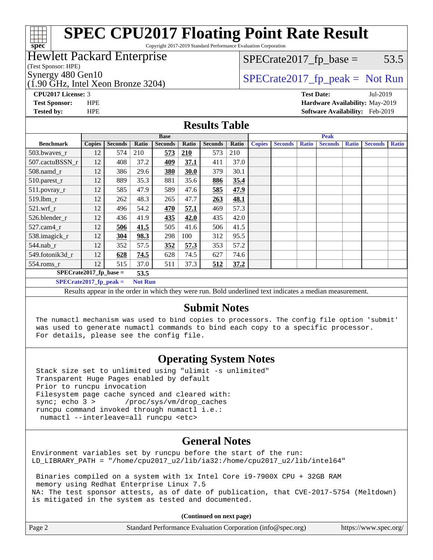# **[spec](http://www.spec.org/)**

## **[SPEC CPU2017 Floating Point Rate Result](http://www.spec.org/auto/cpu2017/Docs/result-fields.html#SPECCPU2017FloatingPointRateResult)**

Copyright 2017-2019 Standard Performance Evaluation Corporation

#### Hewlett Packard Enterprise

(Test Sponsor: HPE)

Synergy 480 Gen10  $SPECrate2017$  fp\_peak = Not Run

(1.90 GHz, Intel Xeon Bronze 3204)

 $SPECTate2017<sub>fp</sub> base = 53.5$ 

**[CPU2017 License:](http://www.spec.org/auto/cpu2017/Docs/result-fields.html#CPU2017License)** 3 **[Test Date:](http://www.spec.org/auto/cpu2017/Docs/result-fields.html#TestDate)** Jul-2019 **[Test Sponsor:](http://www.spec.org/auto/cpu2017/Docs/result-fields.html#TestSponsor)** HPE **[Hardware Availability:](http://www.spec.org/auto/cpu2017/Docs/result-fields.html#HardwareAvailability)** May-2019

**[Tested by:](http://www.spec.org/auto/cpu2017/Docs/result-fields.html#Testedby)** HPE **[Software Availability:](http://www.spec.org/auto/cpu2017/Docs/result-fields.html#SoftwareAvailability)** Feb-2019

#### **[Results Table](http://www.spec.org/auto/cpu2017/Docs/result-fields.html#ResultsTable)**

|                                            |               |                | <b>Base</b> |                |       |                | <b>Peak</b> |               |                |              |                |              |                |              |
|--------------------------------------------|---------------|----------------|-------------|----------------|-------|----------------|-------------|---------------|----------------|--------------|----------------|--------------|----------------|--------------|
| <b>Benchmark</b>                           | <b>Copies</b> | <b>Seconds</b> | Ratio       | <b>Seconds</b> | Ratio | <b>Seconds</b> | Ratio       | <b>Copies</b> | <b>Seconds</b> | <b>Ratio</b> | <b>Seconds</b> | <b>Ratio</b> | <b>Seconds</b> | <b>Ratio</b> |
| 503.bwaves_r                               | 12            | 574            | 210         | 573            | 210   | 573            | 210         |               |                |              |                |              |                |              |
| 507.cactuBSSN r                            | 12            | 408            | 37.2        | 409            | 37.1  | 411            | 37.0        |               |                |              |                |              |                |              |
| $508$ .namd $r$                            | 12            | 386            | 29.6        | 380            | 30.0  | 379            | 30.1        |               |                |              |                |              |                |              |
| 510.parest_r                               | 12            | 889            | 35.3        | 881            | 35.6  | 886            | 35.4        |               |                |              |                |              |                |              |
| 511.povray_r                               | 12            | 585            | 47.9        | 589            | 47.6  | 585            | 47.9        |               |                |              |                |              |                |              |
| 519.lbm r                                  | 12            | 262            | 48.3        | 265            | 47.7  | 263            | 48.1        |               |                |              |                |              |                |              |
| $521$ .wrf r                               | 12            | 496            | 54.2        | 470            | 57.1  | 469            | 57.3        |               |                |              |                |              |                |              |
| 526.blender r                              | 12            | 436            | 41.9        | <u>435</u>     | 42.0  | 435            | 42.0        |               |                |              |                |              |                |              |
| 527.cam4 r                                 | 12            | 506            | 41.5        | 505            | 41.6  | 506            | 41.5        |               |                |              |                |              |                |              |
| 538.imagick_r                              | 12            | 304            | 98.3        | 298            | 100   | 312            | 95.5        |               |                |              |                |              |                |              |
| $544$ .nab_r                               | 12            | 352            | 57.5        | 352            | 57.3  | 353            | 57.2        |               |                |              |                |              |                |              |
| 549.fotonik3d r                            | 12            | 628            | 74.5        | 628            | 74.5  | 627            | 74.6        |               |                |              |                |              |                |              |
| $554$ .roms_r                              | 12            | 515            | 37.0        | 511            | 37.3  | 512            | 37.2        |               |                |              |                |              |                |              |
| $SPECrate2017_fp\_base =$<br>53.5          |               |                |             |                |       |                |             |               |                |              |                |              |                |              |
| $SPECrate2017$ fp peak =<br><b>Not Run</b> |               |                |             |                |       |                |             |               |                |              |                |              |                |              |
| <b>PULLER TELL AND PULLER</b>              |               |                |             |                |       |                |             |               |                |              |                |              |                |              |

Results appear in the [order in which they were run.](http://www.spec.org/auto/cpu2017/Docs/result-fields.html#RunOrder) Bold underlined text [indicates a median measurement.](http://www.spec.org/auto/cpu2017/Docs/result-fields.html#Median)

#### **[Submit Notes](http://www.spec.org/auto/cpu2017/Docs/result-fields.html#SubmitNotes)**

 The numactl mechanism was used to bind copies to processors. The config file option 'submit' was used to generate numactl commands to bind each copy to a specific processor. For details, please see the config file.

#### **[Operating System Notes](http://www.spec.org/auto/cpu2017/Docs/result-fields.html#OperatingSystemNotes)**

 Stack size set to unlimited using "ulimit -s unlimited" Transparent Huge Pages enabled by default Prior to runcpu invocation Filesystem page cache synced and cleared with: sync; echo 3 > /proc/sys/vm/drop\_caches runcpu command invoked through numactl i.e.: numactl --interleave=all runcpu <etc>

#### **[General Notes](http://www.spec.org/auto/cpu2017/Docs/result-fields.html#GeneralNotes)**

Environment variables set by runcpu before the start of the run: LD\_LIBRARY\_PATH = "/home/cpu2017\_u2/lib/ia32:/home/cpu2017\_u2/lib/intel64"

 Binaries compiled on a system with 1x Intel Core i9-7900X CPU + 32GB RAM memory using Redhat Enterprise Linux 7.5 NA: The test sponsor attests, as of date of publication, that CVE-2017-5754 (Meltdown) is mitigated in the system as tested and documented.

**(Continued on next page)**

| Page 2 | Standard Performance Evaluation Corporation (info@spec.org) | https://www.spec.org/ |
|--------|-------------------------------------------------------------|-----------------------|
|--------|-------------------------------------------------------------|-----------------------|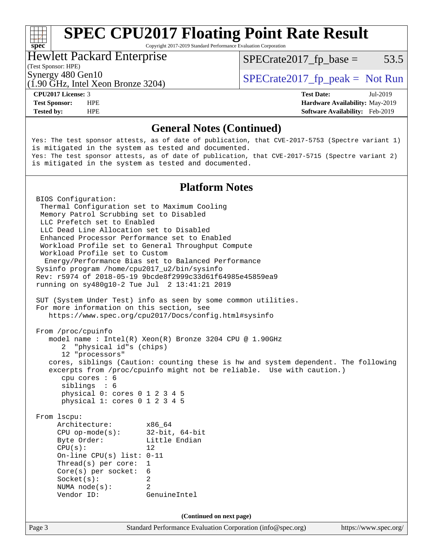## **[SPEC CPU2017 Floating Point Rate Result](http://www.spec.org/auto/cpu2017/Docs/result-fields.html#SPECCPU2017FloatingPointRateResult)**

Copyright 2017-2019 Standard Performance Evaluation Corporation

#### Hewlett Packard Enterprise

 $SPECTate2017<sub>fp</sub> base = 53.5$ 

#### (Test Sponsor: HPE)

(1.90 GHz, Intel Xeon Bronze 3204)

Synergy 480 Gen10  $SPECrate2017$  fp\_peak = Not Run

**[Tested by:](http://www.spec.org/auto/cpu2017/Docs/result-fields.html#Testedby)** HPE **[Software Availability:](http://www.spec.org/auto/cpu2017/Docs/result-fields.html#SoftwareAvailability)** Feb-2019

**[CPU2017 License:](http://www.spec.org/auto/cpu2017/Docs/result-fields.html#CPU2017License)** 3 **[Test Date:](http://www.spec.org/auto/cpu2017/Docs/result-fields.html#TestDate)** Jul-2019 **[Test Sponsor:](http://www.spec.org/auto/cpu2017/Docs/result-fields.html#TestSponsor)** HPE **[Hardware Availability:](http://www.spec.org/auto/cpu2017/Docs/result-fields.html#HardwareAvailability)** May-2019

#### **[General Notes \(Continued\)](http://www.spec.org/auto/cpu2017/Docs/result-fields.html#GeneralNotes)**

Yes: The test sponsor attests, as of date of publication, that CVE-2017-5753 (Spectre variant 1) is mitigated in the system as tested and documented. Yes: The test sponsor attests, as of date of publication, that CVE-2017-5715 (Spectre variant 2) is mitigated in the system as tested and documented.

#### **[Platform Notes](http://www.spec.org/auto/cpu2017/Docs/result-fields.html#PlatformNotes)**

Page 3 Standard Performance Evaluation Corporation [\(info@spec.org\)](mailto:info@spec.org) <https://www.spec.org/> BIOS Configuration: Thermal Configuration set to Maximum Cooling Memory Patrol Scrubbing set to Disabled LLC Prefetch set to Enabled LLC Dead Line Allocation set to Disabled Enhanced Processor Performance set to Enabled Workload Profile set to General Throughput Compute Workload Profile set to Custom Energy/Performance Bias set to Balanced Performance Sysinfo program /home/cpu2017\_u2/bin/sysinfo Rev: r5974 of 2018-05-19 9bcde8f2999c33d61f64985e45859ea9 running on sy480g10-2 Tue Jul 2 13:41:21 2019 SUT (System Under Test) info as seen by some common utilities. For more information on this section, see <https://www.spec.org/cpu2017/Docs/config.html#sysinfo> From /proc/cpuinfo model name : Intel(R) Xeon(R) Bronze 3204 CPU @ 1.90GHz 2 "physical id"s (chips) 12 "processors" cores, siblings (Caution: counting these is hw and system dependent. The following excerpts from /proc/cpuinfo might not be reliable. Use with caution.) cpu cores : 6 siblings : 6 physical 0: cores 0 1 2 3 4 5 physical 1: cores 0 1 2 3 4 5 From lscpu: Architecture: x86\_64 CPU op-mode(s): 32-bit, 64-bit Byte Order: Little Endian  $CPU(s):$  12 On-line CPU(s) list: 0-11 Thread(s) per core: 1 Core(s) per socket: 6 Socket(s): 2 NUMA node(s): 2 Vendor ID: GenuineIntel **(Continued on next page)**

**[spec](http://www.spec.org/)**<sup>®</sup>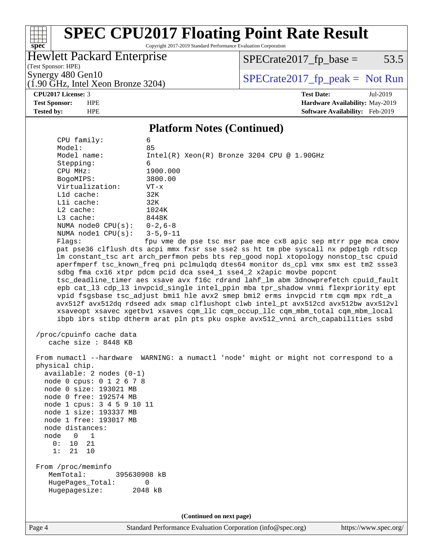# **[spec](http://www.spec.org/)**

## **[SPEC CPU2017 Floating Point Rate Result](http://www.spec.org/auto/cpu2017/Docs/result-fields.html#SPECCPU2017FloatingPointRateResult)**

Copyright 2017-2019 Standard Performance Evaluation Corporation

### Hewlett Packard Enterprise

 $SPECrate2017_fp\_base = 53.5$ 

(Test Sponsor: HPE) (1.90 GHz, Intel Xeon Bronze 3204)

Synergy 480 Gen10<br>(1.90 GHz, Intel Xeon Bronze 3204) [SPECrate2017\\_fp\\_peak =](http://www.spec.org/auto/cpu2017/Docs/result-fields.html#SPECrate2017fppeak) Not Run

**[CPU2017 License:](http://www.spec.org/auto/cpu2017/Docs/result-fields.html#CPU2017License)** 3 **[Test Date:](http://www.spec.org/auto/cpu2017/Docs/result-fields.html#TestDate)** Jul-2019 **[Test Sponsor:](http://www.spec.org/auto/cpu2017/Docs/result-fields.html#TestSponsor)** HPE **[Hardware Availability:](http://www.spec.org/auto/cpu2017/Docs/result-fields.html#HardwareAvailability)** May-2019 **[Tested by:](http://www.spec.org/auto/cpu2017/Docs/result-fields.html#Testedby)** HPE **[Software Availability:](http://www.spec.org/auto/cpu2017/Docs/result-fields.html#SoftwareAvailability)** Feb-2019

#### **[Platform Notes \(Continued\)](http://www.spec.org/auto/cpu2017/Docs/result-fields.html#PlatformNotes)**

| CPU family:                   | 6                                                                                    |
|-------------------------------|--------------------------------------------------------------------------------------|
| Model:                        | 85                                                                                   |
| Model name:                   | Intel(R) Xeon(R) Bronze 3204 CPU @ 1.90GHz                                           |
| Stepping:                     | 6                                                                                    |
| CPU MHz:                      | 1900.000                                                                             |
| BogoMIPS:                     | 3800.00                                                                              |
| Virtualization:               | $VT - x$                                                                             |
| L1d cache:                    | 32K                                                                                  |
| Lli cache:                    | 32K                                                                                  |
| L2 cache:                     | 1024K                                                                                |
| L3 cache:                     | 8448K                                                                                |
| NUMA node0 $CPU(s): 0-2, 6-8$ |                                                                                      |
| NUMA $node1$ $CPU(s):$        | $3 - 5, 9 - 11$                                                                      |
| Flagg:                        | fpu vme de pse tsc msr pae mce cx8 apic sep mtrr pge mca cmov                        |
|                               | pat pse36 clflush dts acpi mmx fxsr sse sse2 ss ht tm pbe syscall nx pdpe1gb rdtscp  |
|                               | lm constant_tsc art arch_perfmon pebs bts rep_good nopl xtopology nonstop_tsc cpuid  |
|                               | aperfmperf tsc_known_freq pni pclmulqdq dtes64 monitor ds_cpl vmx smx est tm2 ssse3  |
|                               | sdbg fma cx16 xtpr pdcm pcid dca sse4_1 sse4_2 x2apic movbe popcnt                   |
|                               | tsc_deadline_timer aes xsave avx f16c rdrand lahf_lm abm 3dnowprefetch cpuid_fault   |
|                               | epb cat_13 cdp_13 invpcid_single intel_ppin mba tpr_shadow vnmi flexpriority ept     |
|                               | vpid fsgsbase tsc_adjust bmil hle avx2 smep bmi2 erms invpcid rtm cqm mpx rdt_a      |
|                               | avx512f avx512dq rdseed adx smap clflushopt clwb intel_pt avx512cd avx512bw avx512vl |
|                               | xsaveopt xsavec xgetbvl xsaves cqm_llc cqm_occup_llc cqm_mbm_total cqm_mbm_local     |
|                               | ibpb ibrs stibp dtherm arat pln pts pku ospke avx512_vnni arch_capabilities ssbd     |
| /proc/cpuinfo cache data      |                                                                                      |
| cache size : 8448 KB          |                                                                                      |
|                               |                                                                                      |
|                               | From numactl --hardware WARNING: a numactl 'node' might or might not correspond to a |
| physical chip.                |                                                                                      |
| $available: 2 nodes (0-1)$    |                                                                                      |
| node 0 cpus: 0 1 2 6 7 8      |                                                                                      |
| node 0 size: 193021 MB        |                                                                                      |
| node 0 free: 192574 MB        |                                                                                      |
| node 1 cpus: 3 4 5 9 10 11    |                                                                                      |
| node 1 size: 193337 MB        |                                                                                      |
| node 1 free: 193017 MB        |                                                                                      |
| node distances:               |                                                                                      |
| node<br>$\Omega$<br>1         |                                                                                      |
| 0:<br>21<br>10                |                                                                                      |
| 1: 21 10                      |                                                                                      |
|                               |                                                                                      |
| From /proc/meminfo            |                                                                                      |
| MemTotal:<br>395630908 kB     |                                                                                      |
| HugePages_Total:              | 0                                                                                    |
| Hugepagesize:                 | 2048 kB                                                                              |
|                               |                                                                                      |
|                               |                                                                                      |
|                               | (Continued on next page)                                                             |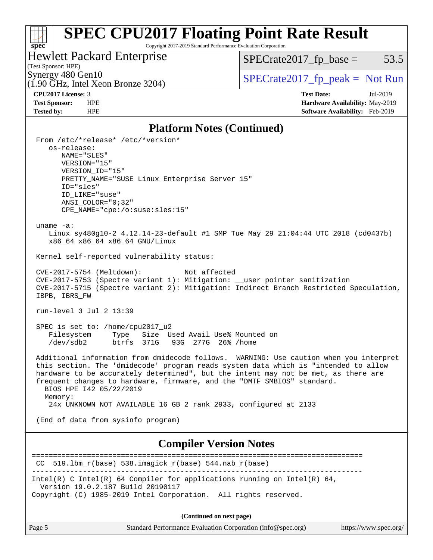## **[SPEC CPU2017 Floating Point Rate Result](http://www.spec.org/auto/cpu2017/Docs/result-fields.html#SPECCPU2017FloatingPointRateResult)**

Copyright 2017-2019 Standard Performance Evaluation Corporation

### Hewlett Packard Enterprise

 $SPECrate2017_fp\_base = 53.5$ 

### (Test Sponsor: HPE)

(1.90 GHz, Intel Xeon Bronze 3204)

### Synergy 480 Gen10<br>(1.90 GHz, Intel Xeon Bronze 3204) [SPECrate2017\\_fp\\_peak =](http://www.spec.org/auto/cpu2017/Docs/result-fields.html#SPECrate2017fppeak) Not Run

**[spec](http://www.spec.org/)**

**[CPU2017 License:](http://www.spec.org/auto/cpu2017/Docs/result-fields.html#CPU2017License)** 3 **[Test Date:](http://www.spec.org/auto/cpu2017/Docs/result-fields.html#TestDate)** Jul-2019 **[Test Sponsor:](http://www.spec.org/auto/cpu2017/Docs/result-fields.html#TestSponsor)** HPE **[Hardware Availability:](http://www.spec.org/auto/cpu2017/Docs/result-fields.html#HardwareAvailability)** May-2019 **[Tested by:](http://www.spec.org/auto/cpu2017/Docs/result-fields.html#Testedby)** HPE **[Software Availability:](http://www.spec.org/auto/cpu2017/Docs/result-fields.html#SoftwareAvailability)** Feb-2019

#### **[Platform Notes \(Continued\)](http://www.spec.org/auto/cpu2017/Docs/result-fields.html#PlatformNotes)**

| $\mathbf{r}$ and $\mathbf{r}$ and $\mathbf{r}$ are $\mathbf{r}$ and $\mathbf{r}$                                                                                                                                                                                                                                                                                                     |
|--------------------------------------------------------------------------------------------------------------------------------------------------------------------------------------------------------------------------------------------------------------------------------------------------------------------------------------------------------------------------------------|
| From /etc/*release* /etc/*version*<br>os-release:<br>NAME="SLES"                                                                                                                                                                                                                                                                                                                     |
| VERSION="15"<br>VERSION_ID="15"                                                                                                                                                                                                                                                                                                                                                      |
| PRETTY NAME="SUSE Linux Enterprise Server 15"<br>ID="sles"                                                                                                                                                                                                                                                                                                                           |
| ID LIKE="suse"<br>$ANSI\_COLOR = "0; 32"$                                                                                                                                                                                                                                                                                                                                            |
| CPE_NAME="cpe:/o:suse:sles:15"                                                                                                                                                                                                                                                                                                                                                       |
| uname $-a$ :<br>Linux sy480g10-2 4.12.14-23-default #1 SMP Tue May 29 21:04:44 UTC 2018 (cd0437b)<br>x86_64 x86_64 x86_64 GNU/Linux                                                                                                                                                                                                                                                  |
| Kernel self-reported vulnerability status:                                                                                                                                                                                                                                                                                                                                           |
| CVE-2017-5754 (Meltdown):<br>Not affected<br>CVE-2017-5753 (Spectre variant 1): Mitigation: __user pointer sanitization<br>CVE-2017-5715 (Spectre variant 2): Mitigation: Indirect Branch Restricted Speculation,<br>IBPB, IBRS FW                                                                                                                                                   |
| run-level 3 Jul 2 13:39                                                                                                                                                                                                                                                                                                                                                              |
| SPEC is set to: /home/cpu2017_u2<br>Type Size Used Avail Use% Mounted on<br>Filesystem<br>/dev/sdb2<br>btrfs 371G 93G 277G 26% / home                                                                                                                                                                                                                                                |
| Additional information from dmidecode follows. WARNING: Use caution when you interpret<br>this section. The 'dmidecode' program reads system data which is "intended to allow<br>hardware to be accurately determined", but the intent may not be met, as there are<br>frequent changes to hardware, firmware, and the "DMTF SMBIOS" standard.<br>BIOS HPE 142 05/22/2019<br>Memory: |
| 24x UNKNOWN NOT AVAILABLE 16 GB 2 rank 2933, configured at 2133                                                                                                                                                                                                                                                                                                                      |
| (End of data from sysinfo program)                                                                                                                                                                                                                                                                                                                                                   |
| <b>Compiler Version Notes</b>                                                                                                                                                                                                                                                                                                                                                        |
| 519.1bm_r(base) 538.imagick_r(base) 544.nab_r(base)<br>CC.                                                                                                                                                                                                                                                                                                                           |
| Intel(R) C Intel(R) 64 Compiler for applications running on Intel(R) 64,<br>Version 19.0.2.187 Build 20190117<br>Copyright (C) 1985-2019 Intel Corporation. All rights reserved.                                                                                                                                                                                                     |
| (Continued on next page)                                                                                                                                                                                                                                                                                                                                                             |
|                                                                                                                                                                                                                                                                                                                                                                                      |

Page 5 Standard Performance Evaluation Corporation [\(info@spec.org\)](mailto:info@spec.org) <https://www.spec.org/>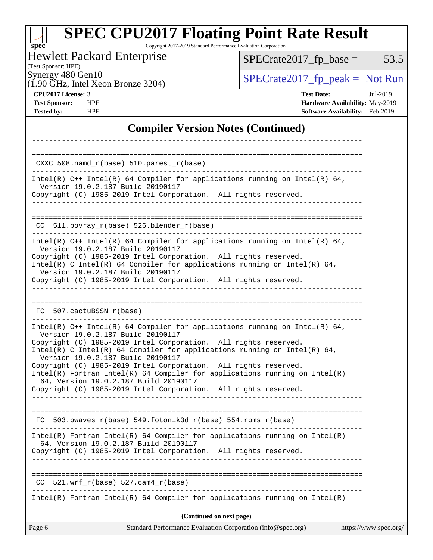#### **[spec](http://www.spec.org/) [SPEC CPU2017 Floating Point Rate Result](http://www.spec.org/auto/cpu2017/Docs/result-fields.html#SPECCPU2017FloatingPointRateResult)** Copyright 2017-2019 Standard Performance Evaluation Corporation Hewlett Packard Enterprise  $SPECrate2017_fp\_base = 53.5$

(1.90 GHz, Intel Xeon Bronze 3204)

(Test Sponsor: HPE)

Synergy 480 Gen10<br>(1.90 GHz, Intel Xeon Bronze 3204) [SPECrate2017\\_fp\\_peak =](http://www.spec.org/auto/cpu2017/Docs/result-fields.html#SPECrate2017fppeak) Not Run

**[CPU2017 License:](http://www.spec.org/auto/cpu2017/Docs/result-fields.html#CPU2017License)** 3 **[Test Date:](http://www.spec.org/auto/cpu2017/Docs/result-fields.html#TestDate)** Jul-2019 **[Test Sponsor:](http://www.spec.org/auto/cpu2017/Docs/result-fields.html#TestSponsor)** HPE **[Hardware Availability:](http://www.spec.org/auto/cpu2017/Docs/result-fields.html#HardwareAvailability)** May-2019 **[Tested by:](http://www.spec.org/auto/cpu2017/Docs/result-fields.html#Testedby)** HPE **[Software Availability:](http://www.spec.org/auto/cpu2017/Docs/result-fields.html#SoftwareAvailability)** Feb-2019

#### **[Compiler Version Notes \(Continued\)](http://www.spec.org/auto/cpu2017/Docs/result-fields.html#CompilerVersionNotes)**

| Page 6 | (Continued on next page)<br>Standard Performance Evaluation Corporation (info@spec.org)                                                                                                                                                                                                                                                                                                                                                                                                                                                                                                      | https://www.spec.org/ |
|--------|----------------------------------------------------------------------------------------------------------------------------------------------------------------------------------------------------------------------------------------------------------------------------------------------------------------------------------------------------------------------------------------------------------------------------------------------------------------------------------------------------------------------------------------------------------------------------------------------|-----------------------|
|        | $Intel(R)$ Fortran Intel(R) 64 Compiler for applications running on Intel(R)                                                                                                                                                                                                                                                                                                                                                                                                                                                                                                                 |                       |
| CC.    | $521.wrf_r(base) 527.cam4_r(base)$                                                                                                                                                                                                                                                                                                                                                                                                                                                                                                                                                           |                       |
|        | Intel(R) Fortran Intel(R) 64 Compiler for applications running on $Intel(R)$<br>64, Version 19.0.2.187 Build 20190117<br>Copyright (C) 1985-2019 Intel Corporation. All rights reserved.                                                                                                                                                                                                                                                                                                                                                                                                     |                       |
|        | FC 503.bwaves $r(base)$ 549.fotonik3d $r(base)$ 554.roms $r(base)$                                                                                                                                                                                                                                                                                                                                                                                                                                                                                                                           |                       |
|        | Intel(R) $C++$ Intel(R) 64 Compiler for applications running on Intel(R) 64,<br>Version 19.0.2.187 Build 20190117<br>Copyright (C) 1985-2019 Intel Corporation. All rights reserved.<br>Intel(R) C Intel(R) 64 Compiler for applications running on Intel(R) 64,<br>Version 19.0.2.187 Build 20190117<br>Copyright (C) 1985-2019 Intel Corporation. All rights reserved.<br>$Intel(R)$ Fortran Intel(R) 64 Compiler for applications running on Intel(R)<br>64, Version 19.0.2.187 Build 20190117<br>Copyright (C) 1985-2019 Intel Corporation. All rights reserved.<br>____________________ |                       |
|        | FC 507.cactuBSSN r(base)                                                                                                                                                                                                                                                                                                                                                                                                                                                                                                                                                                     |                       |
|        | Intel(R) $C++$ Intel(R) 64 Compiler for applications running on Intel(R) 64,<br>Version 19.0.2.187 Build 20190117<br>Copyright (C) 1985-2019 Intel Corporation. All rights reserved.<br>Intel(R) C Intel(R) 64 Compiler for applications running on Intel(R) 64,<br>Version 19.0.2.187 Build 20190117<br>Copyright (C) 1985-2019 Intel Corporation. All rights reserved.                                                                                                                                                                                                                     |                       |
|        | $CC$ 511.povray_r(base) 526.blender_r(base)                                                                                                                                                                                                                                                                                                                                                                                                                                                                                                                                                  |                       |
|        | Intel(R) $C++$ Intel(R) 64 Compiler for applications running on Intel(R) 64,<br>Version 19.0.2.187 Build 20190117<br>Copyright (C) 1985-2019 Intel Corporation. All rights reserved.                                                                                                                                                                                                                                                                                                                                                                                                         |                       |
|        |                                                                                                                                                                                                                                                                                                                                                                                                                                                                                                                                                                                              |                       |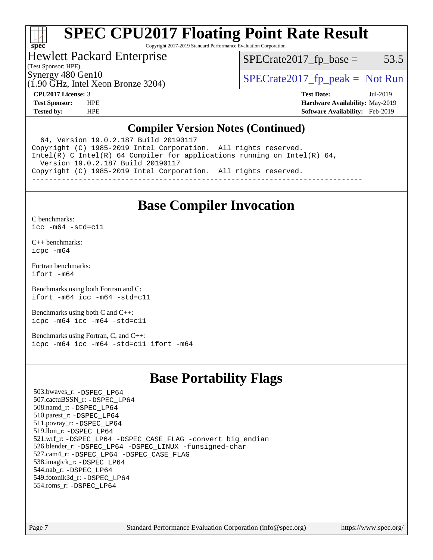#### H F **[spec](http://www.spec.org/)**

## **[SPEC CPU2017 Floating Point Rate Result](http://www.spec.org/auto/cpu2017/Docs/result-fields.html#SPECCPU2017FloatingPointRateResult)**

Copyright 2017-2019 Standard Performance Evaluation Corporation

#### Hewlett Packard Enterprise

(1.90 GHz, Intel Xeon Bronze 3204)

 $SPECTate2017<sub>fp</sub> base = 53.5$ 

(Test Sponsor: HPE)

Synergy 480 Gen10  $SPECrate2017$  fp\_peak = Not Run

**[CPU2017 License:](http://www.spec.org/auto/cpu2017/Docs/result-fields.html#CPU2017License)** 3 **[Test Date:](http://www.spec.org/auto/cpu2017/Docs/result-fields.html#TestDate)** Jul-2019 **[Test Sponsor:](http://www.spec.org/auto/cpu2017/Docs/result-fields.html#TestSponsor)** HPE **[Hardware Availability:](http://www.spec.org/auto/cpu2017/Docs/result-fields.html#HardwareAvailability)** May-2019 **[Tested by:](http://www.spec.org/auto/cpu2017/Docs/result-fields.html#Testedby)** HPE **[Software Availability:](http://www.spec.org/auto/cpu2017/Docs/result-fields.html#SoftwareAvailability)** Feb-2019

#### **[Compiler Version Notes \(Continued\)](http://www.spec.org/auto/cpu2017/Docs/result-fields.html#CompilerVersionNotes)**

 64, Version 19.0.2.187 Build 20190117 Copyright (C) 1985-2019 Intel Corporation. All rights reserved. Intel(R) C Intel(R) 64 Compiler for applications running on Intel(R) 64, Version 19.0.2.187 Build 20190117 Copyright (C) 1985-2019 Intel Corporation. All rights reserved. ------------------------------------------------------------------------------

### **[Base Compiler Invocation](http://www.spec.org/auto/cpu2017/Docs/result-fields.html#BaseCompilerInvocation)**

[C benchmarks](http://www.spec.org/auto/cpu2017/Docs/result-fields.html#Cbenchmarks):

[icc -m64 -std=c11](http://www.spec.org/cpu2017/results/res2019q3/cpu2017-20190709-16105.flags.html#user_CCbase_intel_icc_64bit_c11_33ee0cdaae7deeeab2a9725423ba97205ce30f63b9926c2519791662299b76a0318f32ddfffdc46587804de3178b4f9328c46fa7c2b0cd779d7a61945c91cd35)

[C++ benchmarks:](http://www.spec.org/auto/cpu2017/Docs/result-fields.html#CXXbenchmarks) [icpc -m64](http://www.spec.org/cpu2017/results/res2019q3/cpu2017-20190709-16105.flags.html#user_CXXbase_intel_icpc_64bit_4ecb2543ae3f1412ef961e0650ca070fec7b7afdcd6ed48761b84423119d1bf6bdf5cad15b44d48e7256388bc77273b966e5eb805aefd121eb22e9299b2ec9d9)

[Fortran benchmarks](http://www.spec.org/auto/cpu2017/Docs/result-fields.html#Fortranbenchmarks): [ifort -m64](http://www.spec.org/cpu2017/results/res2019q3/cpu2017-20190709-16105.flags.html#user_FCbase_intel_ifort_64bit_24f2bb282fbaeffd6157abe4f878425411749daecae9a33200eee2bee2fe76f3b89351d69a8130dd5949958ce389cf37ff59a95e7a40d588e8d3a57e0c3fd751)

[Benchmarks using both Fortran and C](http://www.spec.org/auto/cpu2017/Docs/result-fields.html#BenchmarksusingbothFortranandC): [ifort -m64](http://www.spec.org/cpu2017/results/res2019q3/cpu2017-20190709-16105.flags.html#user_CC_FCbase_intel_ifort_64bit_24f2bb282fbaeffd6157abe4f878425411749daecae9a33200eee2bee2fe76f3b89351d69a8130dd5949958ce389cf37ff59a95e7a40d588e8d3a57e0c3fd751) [icc -m64 -std=c11](http://www.spec.org/cpu2017/results/res2019q3/cpu2017-20190709-16105.flags.html#user_CC_FCbase_intel_icc_64bit_c11_33ee0cdaae7deeeab2a9725423ba97205ce30f63b9926c2519791662299b76a0318f32ddfffdc46587804de3178b4f9328c46fa7c2b0cd779d7a61945c91cd35)

[Benchmarks using both C and C++](http://www.spec.org/auto/cpu2017/Docs/result-fields.html#BenchmarksusingbothCandCXX): [icpc -m64](http://www.spec.org/cpu2017/results/res2019q3/cpu2017-20190709-16105.flags.html#user_CC_CXXbase_intel_icpc_64bit_4ecb2543ae3f1412ef961e0650ca070fec7b7afdcd6ed48761b84423119d1bf6bdf5cad15b44d48e7256388bc77273b966e5eb805aefd121eb22e9299b2ec9d9) [icc -m64 -std=c11](http://www.spec.org/cpu2017/results/res2019q3/cpu2017-20190709-16105.flags.html#user_CC_CXXbase_intel_icc_64bit_c11_33ee0cdaae7deeeab2a9725423ba97205ce30f63b9926c2519791662299b76a0318f32ddfffdc46587804de3178b4f9328c46fa7c2b0cd779d7a61945c91cd35)

[Benchmarks using Fortran, C, and C++:](http://www.spec.org/auto/cpu2017/Docs/result-fields.html#BenchmarksusingFortranCandCXX) [icpc -m64](http://www.spec.org/cpu2017/results/res2019q3/cpu2017-20190709-16105.flags.html#user_CC_CXX_FCbase_intel_icpc_64bit_4ecb2543ae3f1412ef961e0650ca070fec7b7afdcd6ed48761b84423119d1bf6bdf5cad15b44d48e7256388bc77273b966e5eb805aefd121eb22e9299b2ec9d9) [icc -m64 -std=c11](http://www.spec.org/cpu2017/results/res2019q3/cpu2017-20190709-16105.flags.html#user_CC_CXX_FCbase_intel_icc_64bit_c11_33ee0cdaae7deeeab2a9725423ba97205ce30f63b9926c2519791662299b76a0318f32ddfffdc46587804de3178b4f9328c46fa7c2b0cd779d7a61945c91cd35) [ifort -m64](http://www.spec.org/cpu2017/results/res2019q3/cpu2017-20190709-16105.flags.html#user_CC_CXX_FCbase_intel_ifort_64bit_24f2bb282fbaeffd6157abe4f878425411749daecae9a33200eee2bee2fe76f3b89351d69a8130dd5949958ce389cf37ff59a95e7a40d588e8d3a57e0c3fd751)

### **[Base Portability Flags](http://www.spec.org/auto/cpu2017/Docs/result-fields.html#BasePortabilityFlags)**

 503.bwaves\_r: [-DSPEC\\_LP64](http://www.spec.org/cpu2017/results/res2019q3/cpu2017-20190709-16105.flags.html#suite_basePORTABILITY503_bwaves_r_DSPEC_LP64) 507.cactuBSSN\_r: [-DSPEC\\_LP64](http://www.spec.org/cpu2017/results/res2019q3/cpu2017-20190709-16105.flags.html#suite_basePORTABILITY507_cactuBSSN_r_DSPEC_LP64) 508.namd\_r: [-DSPEC\\_LP64](http://www.spec.org/cpu2017/results/res2019q3/cpu2017-20190709-16105.flags.html#suite_basePORTABILITY508_namd_r_DSPEC_LP64) 510.parest\_r: [-DSPEC\\_LP64](http://www.spec.org/cpu2017/results/res2019q3/cpu2017-20190709-16105.flags.html#suite_basePORTABILITY510_parest_r_DSPEC_LP64) 511.povray\_r: [-DSPEC\\_LP64](http://www.spec.org/cpu2017/results/res2019q3/cpu2017-20190709-16105.flags.html#suite_basePORTABILITY511_povray_r_DSPEC_LP64) 519.lbm\_r: [-DSPEC\\_LP64](http://www.spec.org/cpu2017/results/res2019q3/cpu2017-20190709-16105.flags.html#suite_basePORTABILITY519_lbm_r_DSPEC_LP64) 521.wrf\_r: [-DSPEC\\_LP64](http://www.spec.org/cpu2017/results/res2019q3/cpu2017-20190709-16105.flags.html#suite_basePORTABILITY521_wrf_r_DSPEC_LP64) [-DSPEC\\_CASE\\_FLAG](http://www.spec.org/cpu2017/results/res2019q3/cpu2017-20190709-16105.flags.html#b521.wrf_r_baseCPORTABILITY_DSPEC_CASE_FLAG) [-convert big\\_endian](http://www.spec.org/cpu2017/results/res2019q3/cpu2017-20190709-16105.flags.html#user_baseFPORTABILITY521_wrf_r_convert_big_endian_c3194028bc08c63ac5d04de18c48ce6d347e4e562e8892b8bdbdc0214820426deb8554edfa529a3fb25a586e65a3d812c835984020483e7e73212c4d31a38223) 526.blender\_r: [-DSPEC\\_LP64](http://www.spec.org/cpu2017/results/res2019q3/cpu2017-20190709-16105.flags.html#suite_basePORTABILITY526_blender_r_DSPEC_LP64) [-DSPEC\\_LINUX](http://www.spec.org/cpu2017/results/res2019q3/cpu2017-20190709-16105.flags.html#b526.blender_r_baseCPORTABILITY_DSPEC_LINUX) [-funsigned-char](http://www.spec.org/cpu2017/results/res2019q3/cpu2017-20190709-16105.flags.html#user_baseCPORTABILITY526_blender_r_force_uchar_40c60f00ab013830e2dd6774aeded3ff59883ba5a1fc5fc14077f794d777847726e2a5858cbc7672e36e1b067e7e5c1d9a74f7176df07886a243d7cc18edfe67) 527.cam4\_r: [-DSPEC\\_LP64](http://www.spec.org/cpu2017/results/res2019q3/cpu2017-20190709-16105.flags.html#suite_basePORTABILITY527_cam4_r_DSPEC_LP64) [-DSPEC\\_CASE\\_FLAG](http://www.spec.org/cpu2017/results/res2019q3/cpu2017-20190709-16105.flags.html#b527.cam4_r_baseCPORTABILITY_DSPEC_CASE_FLAG) 538.imagick\_r: [-DSPEC\\_LP64](http://www.spec.org/cpu2017/results/res2019q3/cpu2017-20190709-16105.flags.html#suite_basePORTABILITY538_imagick_r_DSPEC_LP64) 544.nab\_r: [-DSPEC\\_LP64](http://www.spec.org/cpu2017/results/res2019q3/cpu2017-20190709-16105.flags.html#suite_basePORTABILITY544_nab_r_DSPEC_LP64) 549.fotonik3d\_r: [-DSPEC\\_LP64](http://www.spec.org/cpu2017/results/res2019q3/cpu2017-20190709-16105.flags.html#suite_basePORTABILITY549_fotonik3d_r_DSPEC_LP64) 554.roms\_r: [-DSPEC\\_LP64](http://www.spec.org/cpu2017/results/res2019q3/cpu2017-20190709-16105.flags.html#suite_basePORTABILITY554_roms_r_DSPEC_LP64)